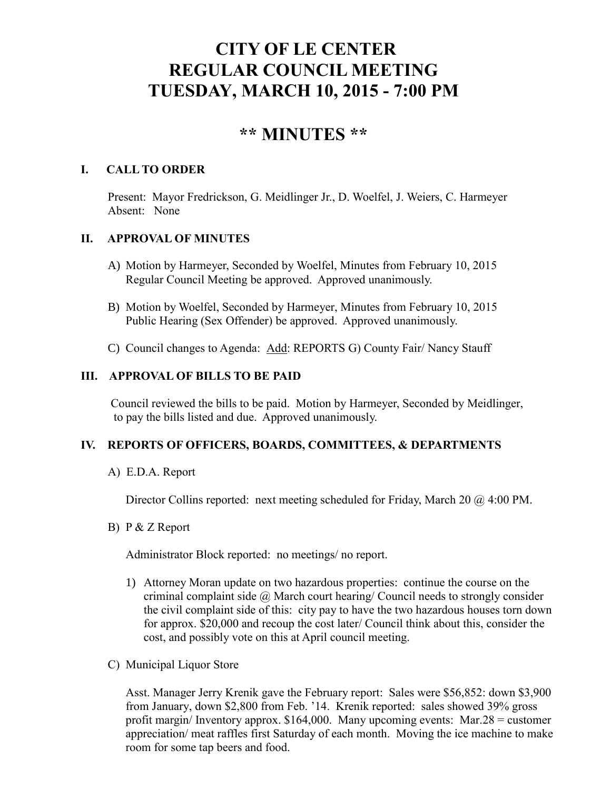# **CITY OF LE CENTER REGULAR COUNCIL MEETING TUESDAY, MARCH 10, 2015 - 7:00 PM**

## **\*\* MINUTES \*\***

### **I. CALL TO ORDER**

Present: Mayor Fredrickson, G. Meidlinger Jr., D. Woelfel, J. Weiers, C. Harmeyer Absent: None

## **II. APPROVAL OF MINUTES**

- A) Motion by Harmeyer, Seconded by Woelfel, Minutes from February 10, 2015 Regular Council Meeting be approved. Approved unanimously.
- B) Motion by Woelfel, Seconded by Harmeyer, Minutes from February 10, 2015 Public Hearing (Sex Offender) be approved. Approved unanimously.
- C) Council changes to Agenda: Add: REPORTS G) County Fair/ Nancy Stauff

## **III. APPROVAL OF BILLS TO BE PAID**

Council reviewed the bills to be paid. Motion by Harmeyer, Seconded by Meidlinger, to pay the bills listed and due. Approved unanimously.

## **IV. REPORTS OF OFFICERS, BOARDS, COMMITTEES, & DEPARTMENTS**

A) E.D.A. Report

Director Collins reported: next meeting scheduled for Friday, March 20 @ 4:00 PM.

B) P & Z Report

Administrator Block reported: no meetings/ no report.

- 1) Attorney Moran update on two hazardous properties: continue the course on the criminal complaint side  $\omega$  March court hearing/ Council needs to strongly consider the civil complaint side of this: city pay to have the two hazardous houses torn down for approx. \$20,000 and recoup the cost later/ Council think about this, consider the cost, and possibly vote on this at April council meeting.
- C) Municipal Liquor Store

Asst. Manager Jerry Krenik gave the February report: Sales were \$56,852: down \$3,900 from January, down \$2,800 from Feb. '14. Krenik reported: sales showed 39% gross profit margin/ Inventory approx. \$164,000. Many upcoming events: Mar.28 = customer appreciation/ meat raffles first Saturday of each month. Moving the ice machine to make room for some tap beers and food.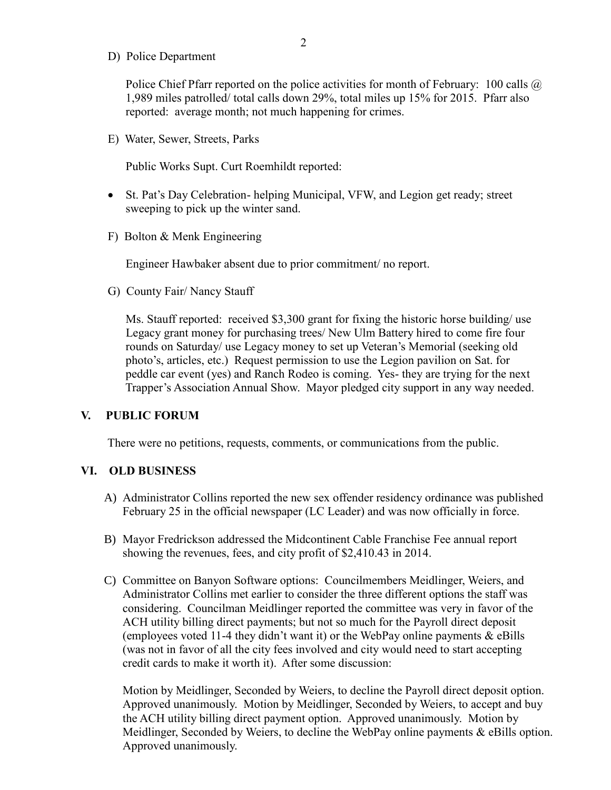D) Police Department

Police Chief Pfarr reported on the police activities for month of February: 100 calls  $\omega$ 1,989 miles patrolled/ total calls down 29%, total miles up 15% for 2015. Pfarr also reported: average month; not much happening for crimes.

E) Water, Sewer, Streets, Parks

Public Works Supt. Curt Roemhildt reported:

- St. Pat's Day Celebration- helping Municipal, VFW, and Legion get ready; street sweeping to pick up the winter sand.
- F) Bolton & Menk Engineering

Engineer Hawbaker absent due to prior commitment/ no report.

G) County Fair/ Nancy Stauff

 Ms. Stauff reported: received \$3,300 grant for fixing the historic horse building/ use Legacy grant money for purchasing trees/ New Ulm Battery hired to come fire four rounds on Saturday/ use Legacy money to set up Veteran's Memorial (seeking old photo's, articles, etc.) Request permission to use the Legion pavilion on Sat. for peddle car event (yes) and Ranch Rodeo is coming. Yes- they are trying for the next Trapper's Association Annual Show. Mayor pledged city support in any way needed.

#### **V. PUBLIC FORUM**

There were no petitions, requests, comments, or communications from the public.

#### **VI. OLD BUSINESS**

- A) Administrator Collins reported the new sex offender residency ordinance was published February 25 in the official newspaper (LC Leader) and was now officially in force.
- B) Mayor Fredrickson addressed the Midcontinent Cable Franchise Fee annual report showing the revenues, fees, and city profit of \$2,410.43 in 2014.
- C) Committee on Banyon Software options: Councilmembers Meidlinger, Weiers, and Administrator Collins met earlier to consider the three different options the staff was considering. Councilman Meidlinger reported the committee was very in favor of the ACH utility billing direct payments; but not so much for the Payroll direct deposit (employees voted 11-4 they didn't want it) or the WebPay online payments & eBills (was not in favor of all the city fees involved and city would need to start accepting credit cards to make it worth it). After some discussion:

Motion by Meidlinger, Seconded by Weiers, to decline the Payroll direct deposit option. Approved unanimously. Motion by Meidlinger, Seconded by Weiers, to accept and buy the ACH utility billing direct payment option. Approved unanimously. Motion by Meidlinger, Seconded by Weiers, to decline the WebPay online payments & eBills option. Approved unanimously.